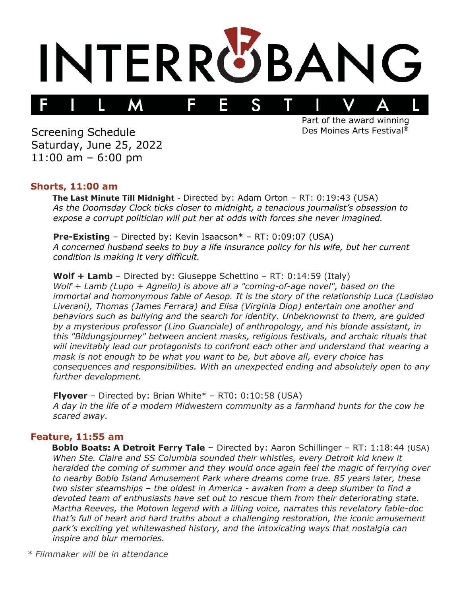

Screening Schedule Saturday, June 25, 2022 11:00 am – 6:00 pm

Part of the award winning Des Moines Arts Festival®

#### **Shorts, 11:00 am**

**The Last Minute Till Midnight** - Directed by: Adam Orton – RT: 0:19:43 (USA) *As the Doomsday Clock ticks closer to midnight, a tenacious journalist's obsession to expose a corrupt politician will put her at odds with forces she never imagined.*

**Pre-Existing** – Directed by: Kevin Isaacson\* – RT: 0:09:07 (USA) *A concerned husband seeks to buy a life insurance policy for his wife, but her current condition is making it very difficult.*

**Wolf + Lamb** – Directed by: Giuseppe Schettino – RT: 0:14:59 (Italy) *Wolf + Lamb (Lupo + Agnello) is above all a "coming-of-age novel", based on the immortal and homonymous fable of Aesop. It is the story of the relationship Luca (Ladislao Liverani), Thomas (James Ferrara) and Elisa (Virginia Diop) entertain one another and behaviors such as bullying and the search for identity. Unbeknownst to them, are guided by a mysterious professor (Lino Guanciale) of anthropology, and his blonde assistant, in this "Bildungsjourney" between ancient masks, religious festivals, and archaic rituals that will inevitably lead our protagonists to confront each other and understand that wearing a mask is not enough to be what you want to be, but above all, every choice has consequences and responsibilities. With an unexpected ending and absolutely open to any further development.*

**Flyover** – Directed by: Brian White<sup>\*</sup> – RT0: 0:10:58 (USA) *A day in the life of a modern Midwestern community as a farmhand hunts for the cow he scared away.*

### **Feature, 11:55 am**

**Boblo Boats: A Detroit Ferry Tale** – Directed by: Aaron Schillinger – RT: 1:18:44 (USA) *When Ste. Claire and SS Columbia sounded their whistles, every Detroit kid knew it heralded the coming of summer and they would once again feel the magic of ferrying over to nearby Boblo Island Amusement Park where dreams come true. 85 years later, these two sister steamships – the oldest in America - awaken from a deep slumber to find a devoted team of enthusiasts have set out to rescue them from their deteriorating state. Martha Reeves, the Motown legend with a lilting voice, narrates this revelatory fable-doc that's full of heart and hard truths about a challenging restoration, the iconic amusement park's exciting yet whitewashed history, and the intoxicating ways that nostalgia can inspire and blur memories.*

*\* Filmmaker will be in attendance*